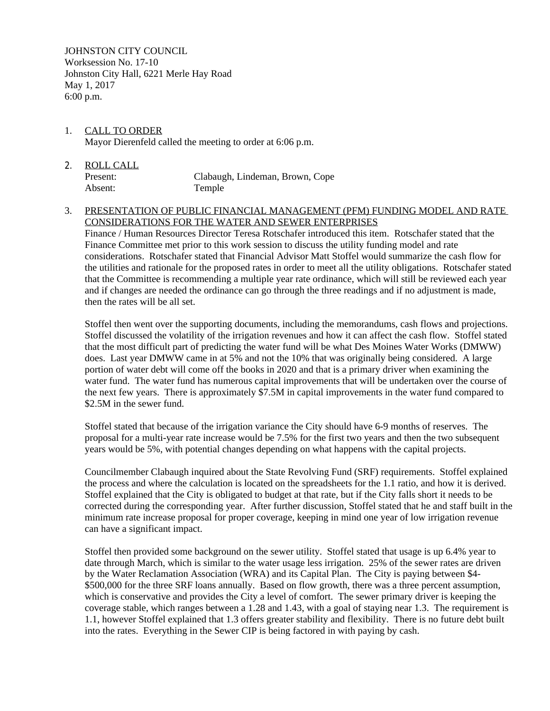JOHNSTON CITY COUNCIL Worksession No. 17-10 Johnston City Hall, 6221 Merle Hay Road May 1, 2017 6:00 p.m.

- 1. CALL TO ORDER Mayor Dierenfeld called the meeting to order at 6:06 p.m.
- 2. ROLL CALL Present: Clabaugh, Lindeman, Brown, Cope Absent: Temple

## 3. PRESENTATION OF PUBLIC FINANCIAL MANAGEMENT (PFM) FUNDING MODEL AND RATE CONSIDERATIONS FOR THE WATER AND SEWER ENTERPRISES

Finance / Human Resources Director Teresa Rotschafer introduced this item. Rotschafer stated that the Finance Committee met prior to this work session to discuss the utility funding model and rate considerations. Rotschafer stated that Financial Advisor Matt Stoffel would summarize the cash flow for the utilities and rationale for the proposed rates in order to meet all the utility obligations. Rotschafer stated that the Committee is recommending a multiple year rate ordinance, which will still be reviewed each year and if changes are needed the ordinance can go through the three readings and if no adjustment is made, then the rates will be all set.

Stoffel then went over the supporting documents, including the memorandums, cash flows and projections. Stoffel discussed the volatility of the irrigation revenues and how it can affect the cash flow. Stoffel stated that the most difficult part of predicting the water fund will be what Des Moines Water Works (DMWW) does. Last year DMWW came in at 5% and not the 10% that was originally being considered. A large portion of water debt will come off the books in 2020 and that is a primary driver when examining the water fund. The water fund has numerous capital improvements that will be undertaken over the course of the next few years. There is approximately \$7.5M in capital improvements in the water fund compared to \$2.5M in the sewer fund.

Stoffel stated that because of the irrigation variance the City should have 6-9 months of reserves. The proposal for a multi-year rate increase would be 7.5% for the first two years and then the two subsequent years would be 5%, with potential changes depending on what happens with the capital projects.

Councilmember Clabaugh inquired about the State Revolving Fund (SRF) requirements. Stoffel explained the process and where the calculation is located on the spreadsheets for the 1.1 ratio, and how it is derived. Stoffel explained that the City is obligated to budget at that rate, but if the City falls short it needs to be corrected during the corresponding year. After further discussion, Stoffel stated that he and staff built in the minimum rate increase proposal for proper coverage, keeping in mind one year of low irrigation revenue can have a significant impact.

Stoffel then provided some background on the sewer utility. Stoffel stated that usage is up 6.4% year to date through March, which is similar to the water usage less irrigation. 25% of the sewer rates are driven by the Water Reclamation Association (WRA) and its Capital Plan. The City is paying between \$4- \$500,000 for the three SRF loans annually. Based on flow growth, there was a three percent assumption, which is conservative and provides the City a level of comfort. The sewer primary driver is keeping the coverage stable, which ranges between a 1.28 and 1.43, with a goal of staying near 1.3. The requirement is 1.1, however Stoffel explained that 1.3 offers greater stability and flexibility. There is no future debt built into the rates. Everything in the Sewer CIP is being factored in with paying by cash.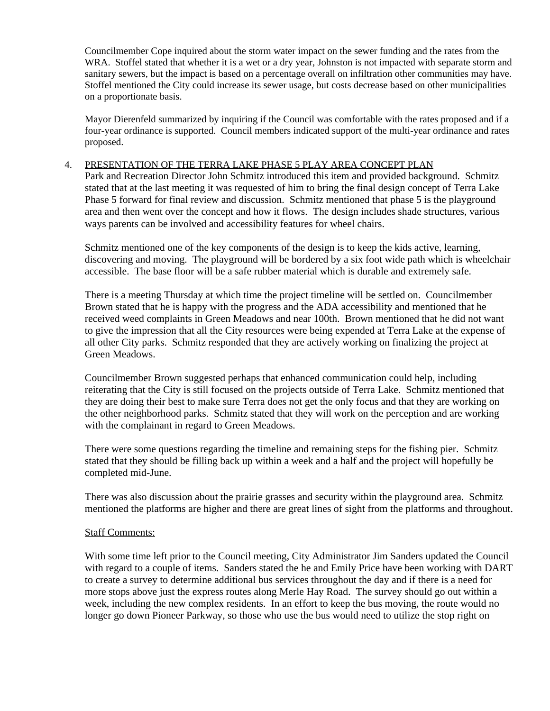Councilmember Cope inquired about the storm water impact on the sewer funding and the rates from the WRA. Stoffel stated that whether it is a wet or a dry year, Johnston is not impacted with separate storm and sanitary sewers, but the impact is based on a percentage overall on infiltration other communities may have. Stoffel mentioned the City could increase its sewer usage, but costs decrease based on other municipalities on a proportionate basis.

Mayor Dierenfeld summarized by inquiring if the Council was comfortable with the rates proposed and if a four-year ordinance is supported. Council members indicated support of the multi-year ordinance and rates proposed.

## 4. PRESENTATION OF THE TERRA LAKE PHASE 5 PLAY AREA CONCEPT PLAN

Park and Recreation Director John Schmitz introduced this item and provided background. Schmitz stated that at the last meeting it was requested of him to bring the final design concept of Terra Lake Phase 5 forward for final review and discussion. Schmitz mentioned that phase 5 is the playground area and then went over the concept and how it flows. The design includes shade structures, various ways parents can be involved and accessibility features for wheel chairs.

Schmitz mentioned one of the key components of the design is to keep the kids active, learning, discovering and moving. The playground will be bordered by a six foot wide path which is wheelchair accessible. The base floor will be a safe rubber material which is durable and extremely safe.

There is a meeting Thursday at which time the project timeline will be settled on. Councilmember Brown stated that he is happy with the progress and the ADA accessibility and mentioned that he received weed complaints in Green Meadows and near 100th. Brown mentioned that he did not want to give the impression that all the City resources were being expended at Terra Lake at the expense of all other City parks. Schmitz responded that they are actively working on finalizing the project at Green Meadows.

Councilmember Brown suggested perhaps that enhanced communication could help, including reiterating that the City is still focused on the projects outside of Terra Lake. Schmitz mentioned that they are doing their best to make sure Terra does not get the only focus and that they are working on the other neighborhood parks. Schmitz stated that they will work on the perception and are working with the complainant in regard to Green Meadows.

There were some questions regarding the timeline and remaining steps for the fishing pier. Schmitz stated that they should be filling back up within a week and a half and the project will hopefully be completed mid-June.

There was also discussion about the prairie grasses and security within the playground area. Schmitz mentioned the platforms are higher and there are great lines of sight from the platforms and throughout.

## Staff Comments:

With some time left prior to the Council meeting, City Administrator Jim Sanders updated the Council with regard to a couple of items. Sanders stated the he and Emily Price have been working with DART to create a survey to determine additional bus services throughout the day and if there is a need for more stops above just the express routes along Merle Hay Road. The survey should go out within a week, including the new complex residents. In an effort to keep the bus moving, the route would no longer go down Pioneer Parkway, so those who use the bus would need to utilize the stop right on